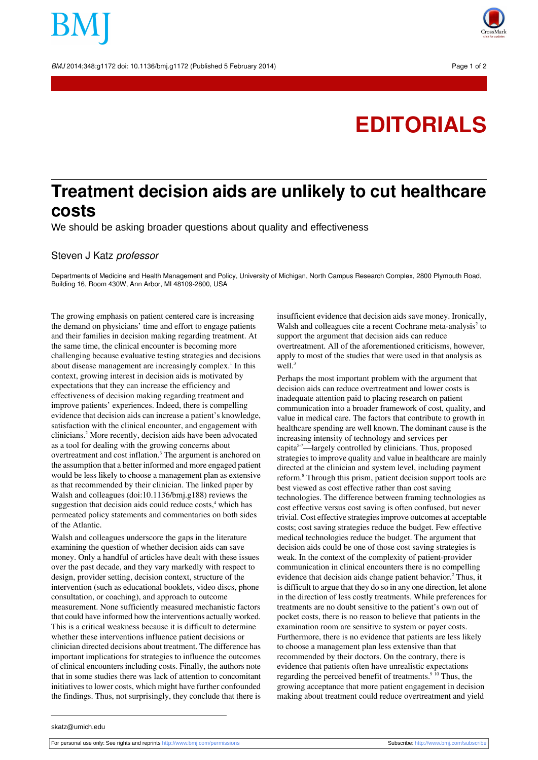BMJ 2014:348:g1172 doi: 10.1136/bmi.g1172 (Published 5 February 2014) Page 1 of 2

# **EDITORIALS**

## **Treatment decision aids are unlikely to cut healthcare costs**

We should be asking broader questions about quality and effectiveness

### Steven J Katz professor

Departments of Medicine and Health Management and Policy, University of Michigan, North Campus Research Complex, 2800 Plymouth Road, Building 16, Room 430W, Ann Arbor, MI 48109-2800, USA

The growing emphasis on patient centered care is increasing the demand on physicians' time and effort to engage patients and their families in decision making regarding treatment. At the same time, the clinical encounter is becoming more challenging because evaluative testing strategies and decisions about disease management are increasingly complex.<sup>1</sup> In this context, growing interest in decision aids is motivated by expectations that they can increase the efficiency and effectiveness of decision making regarding treatment and improve patients' experiences. Indeed, there is compelling evidence that decision aids can increase a patient's knowledge, satisfaction with the clinical encounter, and engagement with clinicians.<sup>2</sup> More recently, decision aids have been advocated as a tool for dealing with the growing concerns about overtreatment and cost inflation.<sup>3</sup> The argument is anchored on the assumption that a better informed and more engaged patient would be less likely to choose a management plan as extensive as that recommended by their clinician. The linked paper by Walsh and colleagues (doi:10.1136/bmj.g188) reviews the suggestion that decision aids could reduce  $costs<sub>+</sub>$  which has permeated policy statements and commentaries on both sides of the Atlantic.

Walsh and colleagues underscore the gaps in the literature examining the question of whether decision aids can save money. Only a handful of articles have dealt with these issues over the past decade, and they vary markedly with respect to design, provider setting, decision context, structure of the intervention (such as educational booklets, video discs, phone consultation, or coaching), and approach to outcome measurement. None sufficiently measured mechanistic factors that could have informed how the interventions actually worked. This is a critical weakness because it is difficult to determine whether these interventions influence patient decisions or clinician directed decisions about treatment. The difference has important implications for strategies to influence the outcomes of clinical encounters including costs. Finally, the authors note that in some studies there was lack of attention to concomitant initiatives to lower costs, which might have further confounded the findings. Thus, not surprisingly, they conclude that there is

insufficient evidence that decision aids save money. Ironically, Walsh and colleagues cite a recent Cochrane meta-analysis<sup>2</sup> to support the argument that decision aids can reduce overtreatment. All of the aforementioned criticisms, however, apply to most of the studies that were used in that analysis as well.<sup>3</sup>

Perhaps the most important problem with the argument that decision aids can reduce overtreatment and lower costs is inadequate attention paid to placing research on patient communication into a broader framework of cost, quality, and value in medical care. The factors that contribute to growth in healthcare spending are well known. The dominant cause is the increasing intensity of technology and services per capita5-7—largely controlled by clinicians. Thus, proposed strategies to improve quality and value in healthcare are mainly directed at the clinician and system level, including payment reform.<sup>8</sup> Through this prism, patient decision support tools are best viewed as cost effective rather than cost saving technologies. The difference between framing technologies as cost effective versus cost saving is often confused, but never trivial. Cost effective strategiesimprove outcomes at acceptable costs; cost saving strategies reduce the budget. Few effective medical technologies reduce the budget. The argument that decision aids could be one of those cost saving strategies is weak. In the context of the complexity of patient-provider communication in clinical encounters there is no compelling evidence that decision aids change patient behavior.<sup>2</sup> Thus, it is difficult to argue that they do so in any one direction, let alone in the direction of less costly treatments. While preferences for treatments are no doubt sensitive to the patient's own out of pocket costs, there is no reason to believe that patients in the examination room are sensitive to system or payer costs. Furthermore, there is no evidence that patients are less likely to choose a management plan less extensive than that recommended by their doctors. On the contrary, there is evidence that patients often have unrealistic expectations regarding the perceived benefit of treatments. $9\overline{10}$  Thus, the growing acceptance that more patient engagement in decision making about treatment could reduce overtreatment and yield

skatz@umich.edu